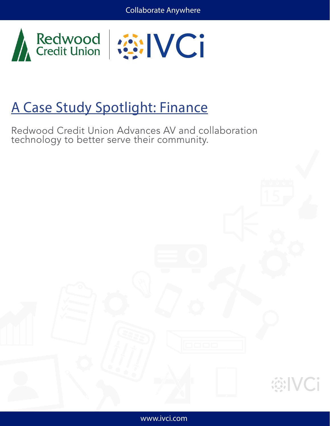



# A Case Study Spotlight: Finance

Redwood Credit Union Advances AV and collaboration technology to better serve their community.



**WINCi**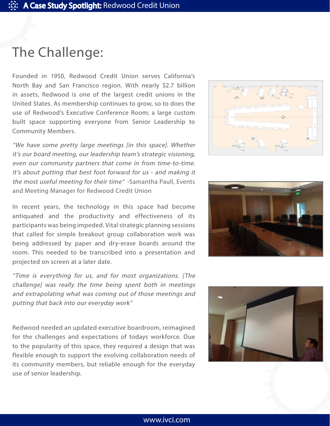### The Challenge:

Founded in 1950, Redwood Credit Union serves California's North Bay and San Francisco region. With nearly \$2.7 billion in assets, Redwood is one of the largest credit unions in the United States. As membership continues to grow, so to does the use of Redwood's Executive Conference Room; a large custom built space supporting everyone from Senior Leadership to Community Members.

"We have some pretty large meetings [in this space]. Whether it's our board meeting, our leadership team's strategic visioning, even our community partners that come in from time-to-time. It's about putting that best foot forward for us - and making it the most useful meeting for their time" -Samantha Paull, Events and Meeting Manager for Redwood Credit Union

In recent years, the technology in this space had become antiquated and the productivity and effectiveness of its participants was being impeded. Vital strategic planning sessions that called for simple breakout group collaboration work was being addressed by paper and dry-erase boards around the room. This needed to be transcribed into a presentation and projected on screen at a later date.

"Time is everything for us, and for most organizations. [The challenge] was really the time being spent both in meetings and extrapolating what was coming out of those meetings and putting that back into our everyday work"

Redwood needed an updated executive boardroom, reimagined for the challenges and expectations of todays workforce. Due to the popularity of this space, they required a design that was flexible enough to support the evolving collaboration needs of its community members, but reliable enough for the everyday use of senior leadership.





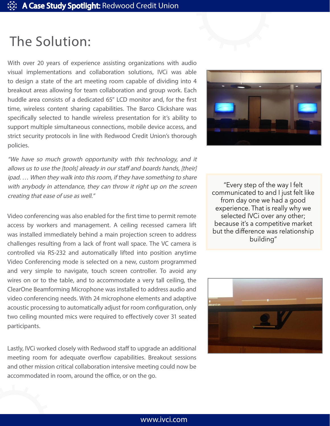#### The Solution:

With over 20 years of experience assisting organizations with audio visual implementations and collaboration solutions, IVCi was able to design a state of the art meeting room capable of dividing into 4 breakout areas allowing for team collaboration and group work. Each huddle area consists of a dedicated 65" LCD monitor and, for the first time, wireless content sharing capabilities. The Barco Clickshare was specifically selected to handle wireless presentation for it's ability to support multiple simultaneous connections, mobile device access, and strict security protocols in line with Redwood Credit Union's thorough policies.

"We have so much growth opportunity with this technology, and it allows us to use the [tools] already in our staff and boards hands, [their] ipad. … When they walk into this room, if they have something to share with anybody in attendance, they can throw it right up on the screen creating that ease of use as well."

Video conferencing was also enabled for the first time to permit remote access by workers and management. A ceiling recessed camera lift was installed immediately behind a main projection screen to address challenges resulting from a lack of front wall space. The VC camera is controlled via RS-232 and automatically lifted into position anytime Video Conferencing mode is selected on a new, custom programmed and very simple to navigate, touch screen controller. To avoid any wires on or to the table, and to accommodate a very tall ceiling, the ClearOne Beamforming Microphone was installed to address audio and video conferencing needs. With 24 microphone elements and adaptive acoustic processing to automatically adjust for room configuration, only two ceiling mounted mics were required to effectively cover 31 seated participants.

Lastly, IVCi worked closely with Redwood staff to upgrade an additional meeting room for adequate overflow capabilities. Breakout sessions and other mission critical collaboration intensive meeting could now be accommodated in room, around the office, or on the go.



"Every step of the way I felt communicated to and I just felt like from day one we had a good experience. That is really why we selected IVCi over any other; because it's a competitive market but the difference was relationship building"